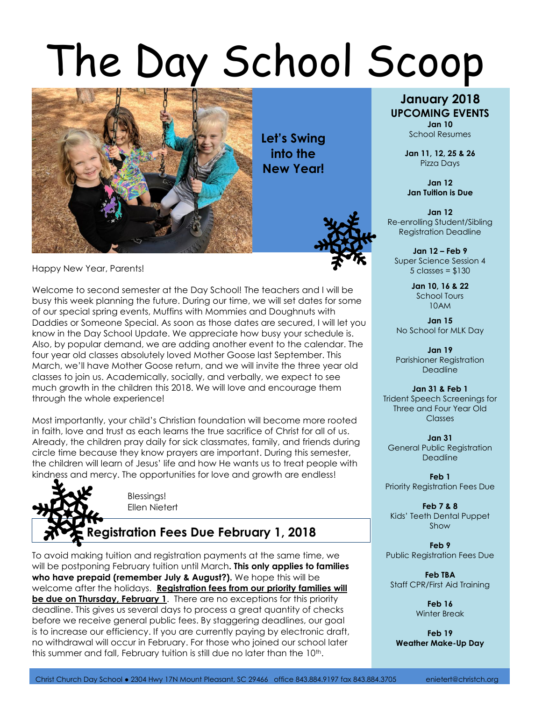## The Day School Scoop



**Let's Swing into the New Year!**



Happy New Year, Parents!

Welcome to second semester at the Day School! The teachers and I will be busy this week planning the future. During our time, we will set dates for some of our special spring events, Muffins with Mommies and Doughnuts with Daddies or Someone Special. As soon as those dates are secured, I will let you know in the Day School Update. We appreciate how busy your schedule is. Also, by popular demand, we are adding another event to the calendar. The four year old classes absolutely loved Mother Goose last September. This March, we'll have Mother Goose return, and we will invite the three year old classes to join us. Academically, socially, and verbally, we expect to see much growth in the children this 2018. We will love and encourage them through the whole experience!

Most importantly, your child's Christian foundation will become more rooted in faith, love and trust as each learns the true sacrifice of Christ for all of us. Already, the children pray daily for sick classmates, family, and friends during circle time because they know prayers are important. During this semester, the children will learn of Jesus' life and how He wants us to treat people with kindness and mercy. The opportunities for love and growth are endless!



To avoid making tuition and registration payments at the same time, we will be postponing February tuition until March**. This only applies to families who have prepaid (remember July & August?).** We hope this will be welcome after the holidays. **Registration fees from our priority families will be due on Thursday, February 1**. There are no exceptions for this priority deadline. This gives us several days to process a great quantity of checks before we receive general public fees. By staggering deadlines, our goal is to increase our efficiency. If you are currently paying by electronic draft, no withdrawal will occur in February. For those who joined our school later this summer and fall, February tuition is still due no later than the 10<sup>th</sup>.

## **January 2018 UPCOMING EVENTS**

**Jan 10** School Resumes

**Jan 11, 12, 25 & 26** Pizza Days

**Jan 12 Jan Tuition is Due**

**Jan 12** Re-enrolling Student/Sibling Registration Deadline

**Jan 12 – Feb 9** Super Science Session 4  $5$  classes =  $$130$ 

> **Jan 10, 16 & 22** School Tours 10AM

**Jan 15** No School for MLK Day

**Jan 19** Parishioner Registration **Deadline** 

**Jan 31 & Feb 1** Trident Speech Screenings for Three and Four Year Old **Classes** 

**Jan 31** General Public Registration **Deadline** 

**Feb 1** Priority Registration Fees Due

**Feb 7 & 8**  Kids' Teeth Dental Puppet Show

**Feb 9** Public Registration Fees Due

**Feb TBA** Staff CPR/First Aid Training

> **Feb 16** Winter Break

**Feb 19 Weather Make-Up Day**